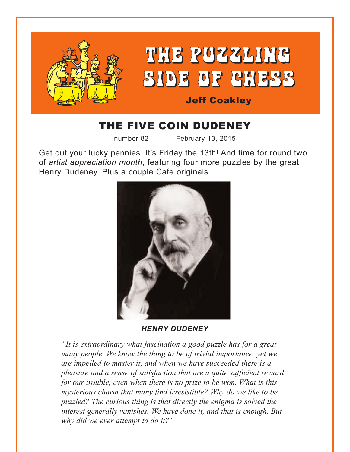

# THE FIVE COIN DUDENEY

number 82 February 13, 2015

Get out your lucky pennies. It's Friday the 13th! And time for round two of *artist appreciation month*, featuring four more puzzles by the great Henry Dudeney. Plus a couple Cafe originals.



*HENRY DUDENEY*

*"It is extraordinary what fascination a good puzzle has for a great many people. We know the thing to be of trivial importance, yet we are impelled to master it, and when we have succeeded there is a pleasure and a sense of satisfaction that are a quite sufficient reward for our trouble, even when there is no prize to be won. What is this mysterious charm that many find irresistible? Why do we like to be puzzled? The curious thing is that directly the enigma is solved the interest generally vanishes. We have done it, and that is enough. But why did we ever attempt to do it?"*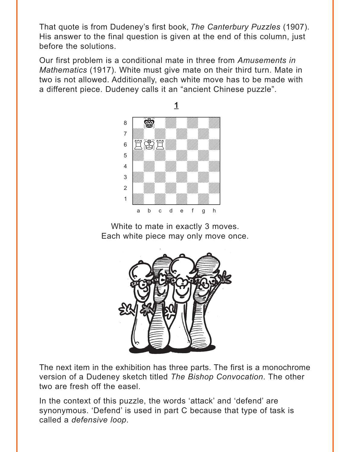<span id="page-1-0"></span>That quote is from Dudeney's first book, *The Canterbury Puzzles* (1907). His answer to the final question is given at the end of this column, just before the solutions.

Our first problem is a conditional mate in three from *Amusements in Mathematics* (1917). White must give mate on their third turn. Mate in two is not allowed. Additionally, each white move has to be made with a different piece. Dudeney calls it an "ancient Chinese puzzle".



White to mate in exactly 3 moves. Each white piece may only move once.



The next item in the exhibition has three parts. The first is a monochrome version of a Dudeney sketch titled *The Bishop Convocation*. The other two are fresh off the easel.

In the context of this puzzle, the words 'attack' and 'defend' are synonymous. 'Defend' is used in part C because that type of task is called a *defensive loop*.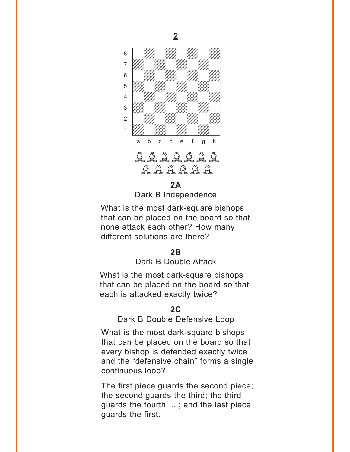<span id="page-2-0"></span>

#### **[2A](#page-6-0)**

Dark B Independence

What is the most dark-square bishops that can be placed on the board so that none attack each other? How many different solutions are there?

### **[2B](#page-7-0)**

## Dark B Double Attack

What is the most dark-square bishops that can be placed on the board so that each is attacked exactly twice?

#### **[2C](#page-8-0)**

Dark B Double Defensive Loop

What is the most dark-square bishops that can be placed on the board so that every bishop is defended exactly twice and the "defensive chain" forms a single continuous loop?

The first piece guards the second piece; the second guards the third; the third guards the fourth; ...; and the last piece guards the first.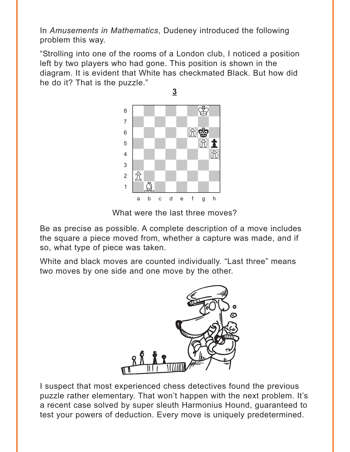<span id="page-3-0"></span>In *Amusements in Mathematics*, Dudeney introduced the following problem this way.

"Strolling into one of the rooms of a London club, I noticed a position left by two players who had gone. This position is shown in the diagram. It is evident that White has checkmated Black. But how did he do it? That is the puzzle."



What were the last three moves?

Be as precise as possible. A complete description of a move includes the square a piece moved from, whether a capture was made, and if so, what type of piece was taken.

White and black moves are counted individually. "Last three" means two moves by one side and one move by the other.



I suspect that most experienced chess detectives found the previous puzzle rather elementary. That won't happen with the next problem. It's a recent case solved by super sleuth Harmonius Hound, guaranteed to test your powers of deduction. Every move is uniquely predetermined.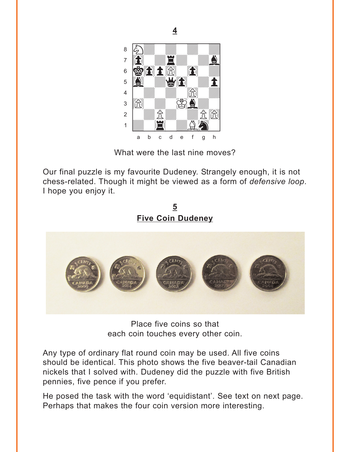<span id="page-4-0"></span>

What were the last nine moves?

Our final puzzle is my favourite Dudeney. Strangely enough, it is not chess-related. Though it might be viewed as a form of *defensive loop*. I hope you enjoy it.

**5 [Five Coin Dudeney](#page-14-0)**



Place five coins so that each coin touches every other coin.

Any type of ordinary flat round coin may be used. All five coins should be identical. This photo shows the five beaver-tail Canadian nickels that I solved with. Dudeney did the puzzle with five British pennies, five pence if you prefer.

He posed the task with the word 'equidistant'. See text on next page. Perhaps that makes the four coin version more interesting.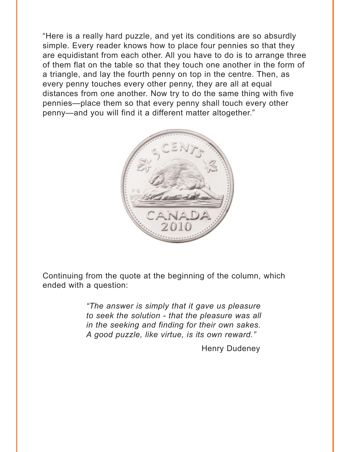"Here is a really hard puzzle, and yet its conditions are so absurdly simple. Every reader knows how to place four pennies so that they are equidistant from each other. All you have to do is to arrange three of them flat on the table so that they touch one another in the form of a triangle, and lay the fourth penny on top in the centre. Then, as every penny touches every other penny, they are all at equal distances from one another. Now try to do the same thing with five pennies—place them so that every penny shall touch every other penny—and you will find it a different matter altogether."



Continuing from the quote at the beginning of the column, which ended with a question:

> *"The answer is simply that it gave us pleasure to seek the solution - that the pleasure was all in the seeking and finding for their own sakes. A good puzzle, like virtue, is its own reward."*

> > Henry Dudeney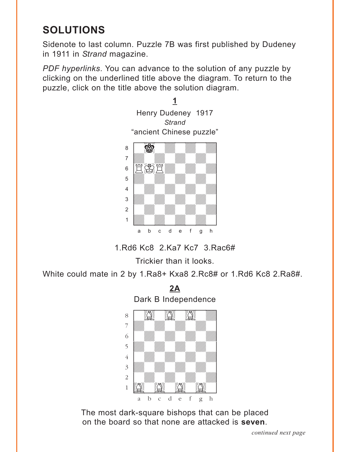# <span id="page-6-0"></span>**SOLUTIONS**

Sidenote to last column. Puzzle 7B was first published by Dudeney in 1911 in *Strand* magazine.

*PDF hyperlinks*. You can advance to the solution of any puzzle by clicking on the underlined title above the diagram. To return to the puzzle, click on the title above the solution diagram.



1.Rd6 Kc8 2.Ka7 Kc7 3.Rac6#

Trickier than it looks.

White could mate in 2 by 1.Ra8+ Kxa8 2.Rc8# or 1.Rd6 Kc8 2.Ra8#.



The most dark-square bishops that can be placed on the board so that none are attacked is **seven**.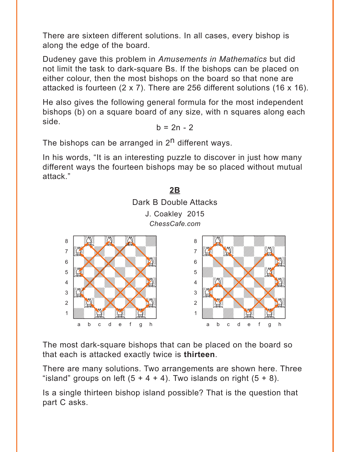<span id="page-7-0"></span>There are sixteen different solutions. In all cases, every bishop is along the edge of the board.

Dudeney gave this problem in *Amusements in Mathematics* but did not limit the task to dark-square Bs. If the bishops can be placed on either colour, then the most bishops on the board so that none are attacked is fourteen (2 x 7). There are 256 different solutions (16 x 16).

He also gives the following general formula for the most independent bishops (b) on a square board of any size, with n squares along each side.

$$
b = 2n - 2
$$

The bishops can be arranged in  $2<sup>n</sup>$  different ways.

In his words, "It is an interesting puzzle to discover in just how many different ways the fourteen bishops may be so placed without mutual attack."



The most dark-square bishops that can be placed on the board so that each is attacked exactly twice is **thirteen**.

There are many solutions. Two arrangements are shown here. Three "island" groups on left  $(5 + 4 + 4)$ . Two islands on right  $(5 + 8)$ .

Is a single thirteen bishop island possible? That is the question that part C asks.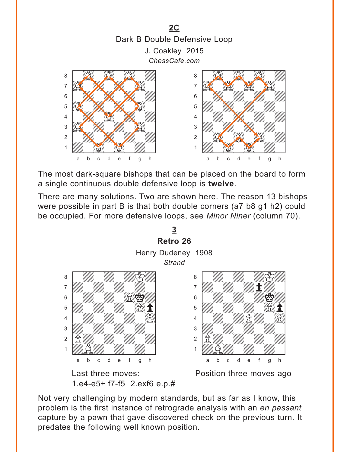<span id="page-8-0"></span>

The most dark-square bishops that can be placed on the board to form a single continuous double defensive loop is **twelve**.

There are many solutions. Two are shown here. The reason 13 bishops were possible in part B is that both double corners (a7 b8 g1 h2) could be occupied. For more defensive loops, see *Minor Niner* (column 70).



Not very challenging by modern standards, but as far as I know, this problem is the first instance of retrograde analysis with an *en passant* capture by a pawn that gave discovered check on the previous turn. It predates the following well known position.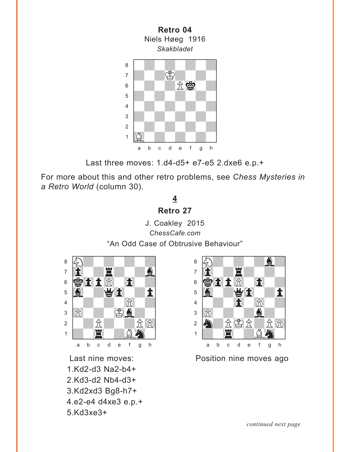<span id="page-9-0"></span>**Retro 04** Niels Høeg 1916 *Skakbladet*  $max$ a **chunga a chunga a chunga a chunga a chunga a** adwarfad adward a bhaile an chomhair an chomhair an chomhair an chomhair an chomhair an chomhair an chomhair a<br>Tagairtí  $\frac{1}{2}$ **b** William William William Company and the William Company of the William Company of the William Company of the William Company of the Company of the Company of the Company of the Company of the Company of the Company of 4 William William William William  $\frac{1}{\sqrt{2}}$ 2 | *William William William William 1*  $\frac{1}{\sqrt{2}}$ a b c d e f g h

Last three moves: 1.d4-d5+ e7-e5 2.dxe6 e.p.+

For more about this and other retro problems, see *Chess Mysteries in a Retro World* (column 30).

# **4 [Retro 27](#page-4-0)**

J. Coakley 2015 *ChessCafe.com* "An Odd Case of Obtrusive Behaviour"



1.Kd2-d3 Na2-b4+ 2.Kd3-d2 Nb4-d3+ 3.Kd2xd3 Bg8-h7+ 4.e2-e4 d4xe3 e.p.+ 5.Kd3xe3+



Last nine moves: Position nine moves ago

*continued next page*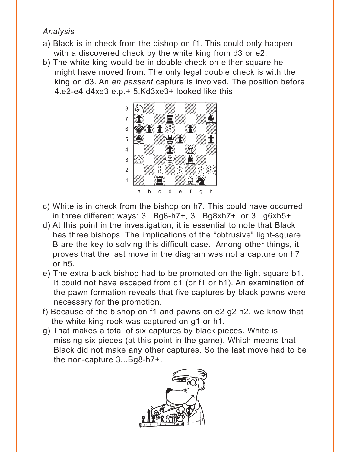# *Analysis*

- a) Black is in check from the bishop on f1. This could only happen with a discovered check by the white king from d3 or e2.
- b) The white king would be in double check on either square he might have moved from. The only legal double check is with the king on d3. An *en passant* capture is involved. The position before 4.e2-e4 d4xe3 e.p.+ 5.Kd3xe3+ looked like this.



- c) White is in check from the bishop on h7. This could have occurred in three different ways: 3...Bg8-h7+, 3...Bg8xh7+, or 3...g6xh5+.
- d) At this point in the investigation, it is essential to note that Black has three bishops. The implications of the "obtrusive" light-square B are the key to solving this difficult case. Among other things, it proves that the last move in the diagram was not a capture on h7 or h5.
- e) The extra black bishop had to be promoted on the light square b1. It could not have escaped from d1 (or f1 or h1). An examination of the pawn formation reveals that five captures by black pawns were necessary for the promotion.
- f) Because of the bishop on f1 and pawns on e2 g2 h2, we know that the white king rook was captured on g1 or h1.
- g) That makes a total of six captures by black pieces. White is missing six pieces (at this point in the game). Which means that Black did not make any other captures. So the last move had to be the non-capture 3...Bg8-h7+.

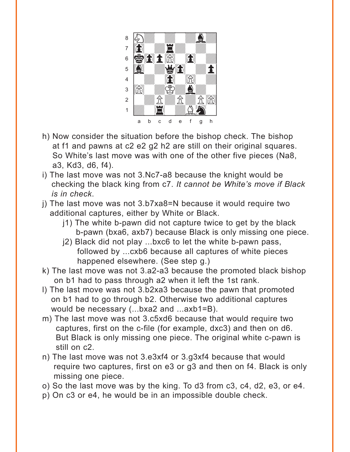

- h) Now consider the situation before the bishop check. The bishop at f1 and pawns at c2 e2 g2 h2 are still on their original squares. So White's last move was with one of the other five pieces (Na8, a3, Kd3, d6, f4).
- i) The last move was not 3.Nc7-a8 because the knight would be checking the black king from c7. *It cannot be White's move if Black is in check*.
- j) The last move was not 3.b7xa8=N because it would require two additional captures, either by White or Black.
	- j1) The white b-pawn did not capture twice to get by the black b-pawn (bxa6, axb7) because Black is only missing one piece.
	- j2) Black did not play ...bxc6 to let the white b-pawn pass, followed by ...cxb6 because all captures of white pieces happened elsewhere. (See step g.)
- k) The last move was not 3.a2-a3 because the promoted black bishop on b1 had to pass through a2 when it left the 1st rank.
- l) The last move was not 3.b2xa3 because the pawn that promoted on b1 had to go through b2. Otherwise two additional captures would be necessary (...bxa2 and ...axb1=B).
- m) The last move was not 3.c5xd6 because that would require two captures, first on the c-file (for example, dxc3) and then on d6. But Black is only missing one piece. The original white c-pawn is still on c2.
- n) The last move was not 3.e3xf4 or 3.g3xf4 because that would require two captures, first on e3 or g3 and then on f4. Black is only missing one piece.
- o) So the last move was by the king. To d3 from c3, c4, d2, e3, or e4.
- p) On c3 or e4, he would be in an impossible double check.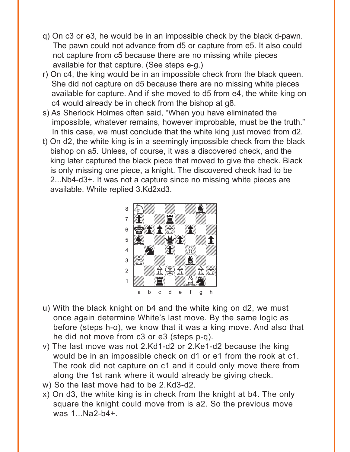- q) On c3 or e3, he would be in an impossible check by the black d-pawn. The pawn could not advance from d5 or capture from e5. It also could not capture from c5 because there are no missing white pieces available for that capture. (See steps e-g.)
- r) On c4, the king would be in an impossible check from the black queen. She did not capture on d5 because there are no missing white pieces available for capture. And if she moved to d5 from e4, the white king on c4 would already be in check from the bishop at g8.
- s) As Sherlock Holmes often said, "When you have eliminated the impossible, whatever remains, however improbable, must be the truth." In this case, we must conclude that the white king just moved from d2.
- t) On d2, the white king is in a seemingly impossible check from the black bishop on a5. Unless, of course, it was a discovered check, and the king later captured the black piece that moved to give the check. Black is only missing one piece, a knight. The discovered check had to be 2...Nb4-d3+. It was not a capture since no missing white pieces are available. White replied 3.Kd2xd3.



- u) With the black knight on b4 and the white king on d2, we must once again determine White's last move. By the same logic as before (steps h-o), we know that it was a king move. And also that he did not move from c3 or e3 (steps p-q).
- v) The last move was not 2.Kd1-d2 or 2.Ke1-d2 because the king would be in an impossible check on d1 or e1 from the rook at c1. The rook did not capture on c1 and it could only move there from along the 1st rank where it would already be giving check.
- w) So the last move had to be 2.Kd3-d2.
- x) On d3, the white king is in check from the knight at b4. The only square the knight could move from is a2. So the previous move was 1...Na2-b4+.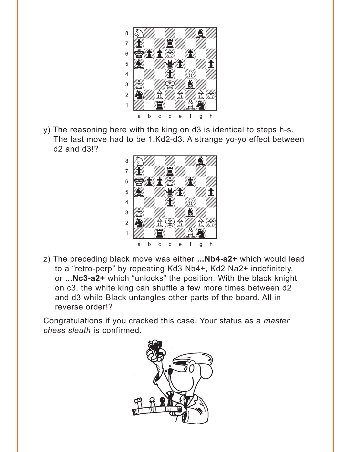

y) The reasoning here with the king on d3 is identical to steps h-s. The last move had to be 1.Kd2-d3. A strange yo-yo effect between d2 and d3!? with the set of the set of the set of the set of the set of the set of the set of the set of the set of the set of the set of the set of the set of the set of the set of the set of the set of the set of the set of the set



z) The preceding black move was either **...Nb4-a2+** which would lead to a "retro-perp" by repeating Kd3 Nb4+, Kd2 Na2+ indefinitely, or **...Nc3-a2+** which "unlocks" the position. With the black knight on c3, the white king can shuffle a few more times between d2 and d3 while Black untangles other parts of the board. All in reverse order!?

Congratulations if you cracked this case. Your status as a *master chess sleuth* is confirmed.